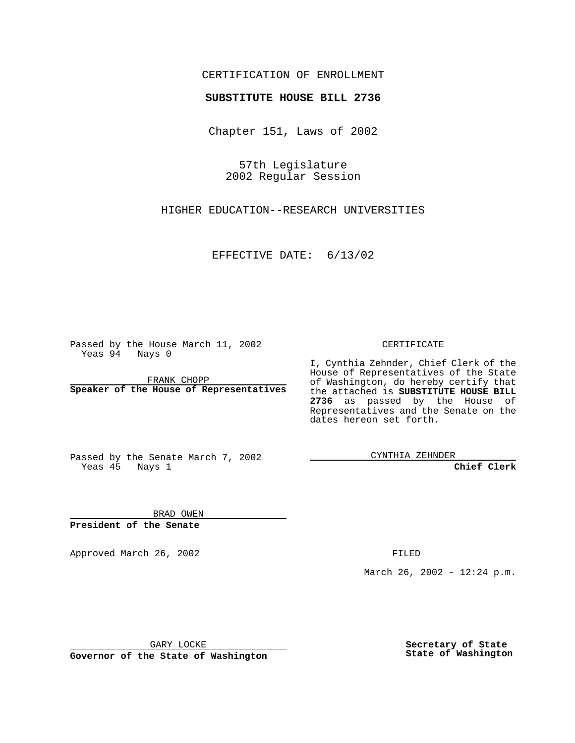#### CERTIFICATION OF ENROLLMENT

# **SUBSTITUTE HOUSE BILL 2736**

Chapter 151, Laws of 2002

57th Legislature 2002 Regular Session

HIGHER EDUCATION--RESEARCH UNIVERSITIES

EFFECTIVE DATE: 6/13/02

Passed by the House March 11, 2002 Yeas 94 Nays 0

FRANK CHOPP **Speaker of the House of Representatives** CERTIFICATE

I, Cynthia Zehnder, Chief Clerk of the House of Representatives of the State of Washington, do hereby certify that the attached is **SUBSTITUTE HOUSE BILL 2736** as passed by the House of Representatives and the Senate on the dates hereon set forth.

Passed by the Senate March 7, 2002 Yeas 45 Nays 1

CYNTHIA ZEHNDER

**Chief Clerk**

BRAD OWEN **President of the Senate**

Approved March 26, 2002 **FILED** 

March 26, 2002 - 12:24 p.m.

GARY LOCKE

**Governor of the State of Washington**

**Secretary of State State of Washington**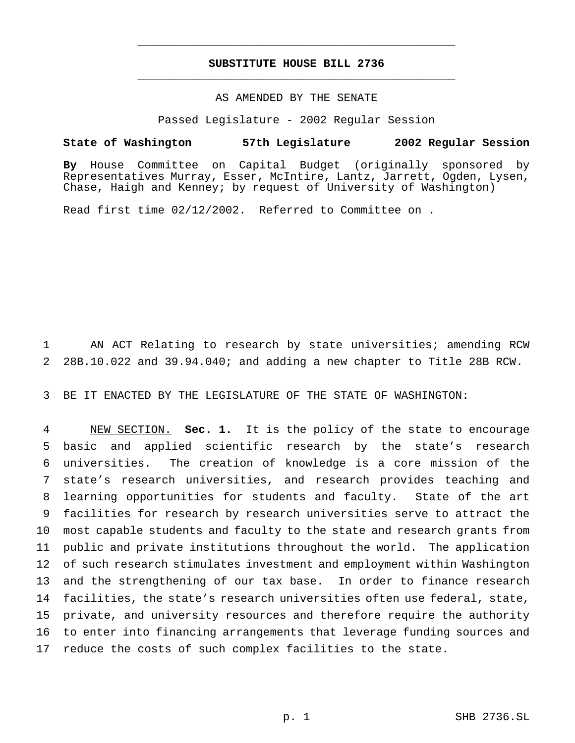## **SUBSTITUTE HOUSE BILL 2736** \_\_\_\_\_\_\_\_\_\_\_\_\_\_\_\_\_\_\_\_\_\_\_\_\_\_\_\_\_\_\_\_\_\_\_\_\_\_\_\_\_\_\_\_\_\_\_

\_\_\_\_\_\_\_\_\_\_\_\_\_\_\_\_\_\_\_\_\_\_\_\_\_\_\_\_\_\_\_\_\_\_\_\_\_\_\_\_\_\_\_\_\_\_\_

## AS AMENDED BY THE SENATE

Passed Legislature - 2002 Regular Session

#### **State of Washington 57th Legislature 2002 Regular Session**

**By** House Committee on Capital Budget (originally sponsored by Representatives Murray, Esser, McIntire, Lantz, Jarrett, Ogden, Lysen, Chase, Haigh and Kenney; by request of University of Washington)

Read first time 02/12/2002. Referred to Committee on .

 AN ACT Relating to research by state universities; amending RCW 28B.10.022 and 39.94.040; and adding a new chapter to Title 28B RCW.

BE IT ENACTED BY THE LEGISLATURE OF THE STATE OF WASHINGTON:

 NEW SECTION. **Sec. 1.** It is the policy of the state to encourage basic and applied scientific research by the state's research universities. The creation of knowledge is a core mission of the state's research universities, and research provides teaching and learning opportunities for students and faculty. State of the art facilities for research by research universities serve to attract the most capable students and faculty to the state and research grants from public and private institutions throughout the world. The application of such research stimulates investment and employment within Washington and the strengthening of our tax base. In order to finance research facilities, the state's research universities often use federal, state, private, and university resources and therefore require the authority to enter into financing arrangements that leverage funding sources and reduce the costs of such complex facilities to the state.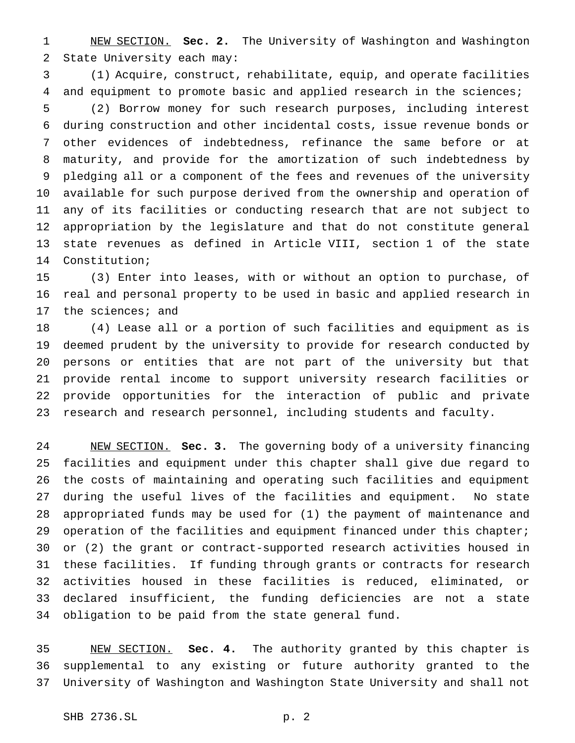NEW SECTION. **Sec. 2.** The University of Washington and Washington State University each may:

 (1) Acquire, construct, rehabilitate, equip, and operate facilities and equipment to promote basic and applied research in the sciences; (2) Borrow money for such research purposes, including interest during construction and other incidental costs, issue revenue bonds or other evidences of indebtedness, refinance the same before or at maturity, and provide for the amortization of such indebtedness by pledging all or a component of the fees and revenues of the university available for such purpose derived from the ownership and operation of any of its facilities or conducting research that are not subject to appropriation by the legislature and that do not constitute general state revenues as defined in Article VIII, section 1 of the state Constitution;

 (3) Enter into leases, with or without an option to purchase, of real and personal property to be used in basic and applied research in the sciences; and

 (4) Lease all or a portion of such facilities and equipment as is deemed prudent by the university to provide for research conducted by persons or entities that are not part of the university but that provide rental income to support university research facilities or provide opportunities for the interaction of public and private research and research personnel, including students and faculty.

 NEW SECTION. **Sec. 3.** The governing body of a university financing facilities and equipment under this chapter shall give due regard to the costs of maintaining and operating such facilities and equipment during the useful lives of the facilities and equipment. No state appropriated funds may be used for (1) the payment of maintenance and 29 operation of the facilities and equipment financed under this chapter; or (2) the grant or contract-supported research activities housed in these facilities. If funding through grants or contracts for research activities housed in these facilities is reduced, eliminated, or declared insufficient, the funding deficiencies are not a state obligation to be paid from the state general fund.

 NEW SECTION. **Sec. 4.** The authority granted by this chapter is supplemental to any existing or future authority granted to the University of Washington and Washington State University and shall not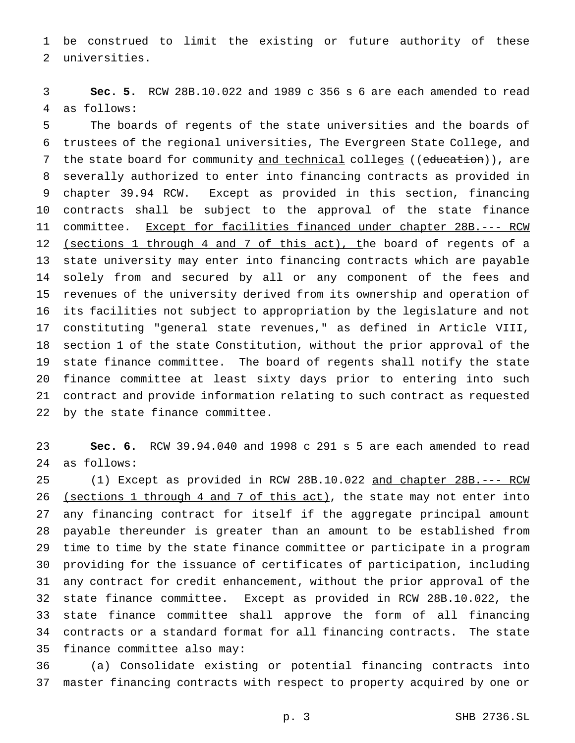be construed to limit the existing or future authority of these universities.

 **Sec. 5.** RCW 28B.10.022 and 1989 c 356 s 6 are each amended to read as follows:

 The boards of regents of the state universities and the boards of trustees of the regional universities, The Evergreen State College, and 7 the state board for community and technical colleges ((education)), are severally authorized to enter into financing contracts as provided in chapter 39.94 RCW. Except as provided in this section, financing contracts shall be subject to the approval of the state finance 11 committee. Except for facilities financed under chapter 28B.--- RCW (sections 1 through 4 and 7 of this act), the board of regents of a state university may enter into financing contracts which are payable solely from and secured by all or any component of the fees and revenues of the university derived from its ownership and operation of its facilities not subject to appropriation by the legislature and not constituting "general state revenues," as defined in Article VIII, section 1 of the state Constitution, without the prior approval of the state finance committee. The board of regents shall notify the state finance committee at least sixty days prior to entering into such contract and provide information relating to such contract as requested by the state finance committee.

 **Sec. 6.** RCW 39.94.040 and 1998 c 291 s 5 are each amended to read as follows:

 (1) Except as provided in RCW 28B.10.022 and chapter 28B.--- RCW 26 (sections 1 through 4 and 7 of this act), the state may not enter into any financing contract for itself if the aggregate principal amount payable thereunder is greater than an amount to be established from time to time by the state finance committee or participate in a program providing for the issuance of certificates of participation, including any contract for credit enhancement, without the prior approval of the state finance committee. Except as provided in RCW 28B.10.022, the state finance committee shall approve the form of all financing contracts or a standard format for all financing contracts. The state finance committee also may:

 (a) Consolidate existing or potential financing contracts into master financing contracts with respect to property acquired by one or